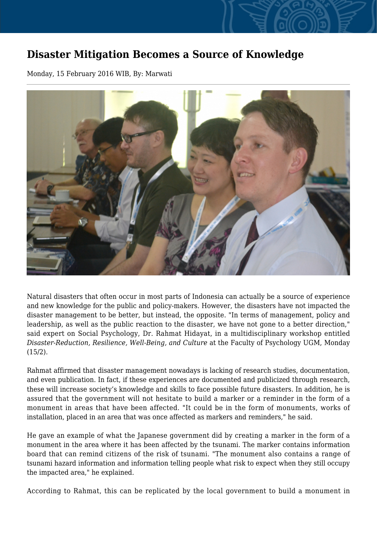## **Disaster Mitigation Becomes a Source of Knowledge**

Monday, 15 February 2016 WIB, By: Marwati



Natural disasters that often occur in most parts of Indonesia can actually be a source of experience and new knowledge for the public and policy-makers. However, the disasters have not impacted the disaster management to be better, but instead, the opposite. "In terms of management, policy and leadership, as well as the public reaction to the disaster, we have not gone to a better direction," said expert on Social Psychology, Dr. Rahmat Hidayat, in a multidisciplinary workshop entitled *Disaster-Reduction, Resilience, Well-Being, and Culture* at the Faculty of Psychology UGM, Monday (15/2).

Rahmat affirmed that disaster management nowadays is lacking of research studies, documentation, and even publication. In fact, if these experiences are documented and publicized through research, these will increase society's knowledge and skills to face possible future disasters. In addition, he is assured that the government will not hesitate to build a marker or a reminder in the form of a monument in areas that have been affected. "It could be in the form of monuments, works of installation, placed in an area that was once affected as markers and reminders," he said.

He gave an example of what the Japanese government did by creating a marker in the form of a monument in the area where it has been affected by the tsunami. The marker contains information board that can remind citizens of the risk of tsunami. "The monument also contains a range of tsunami hazard information and information telling people what risk to expect when they still occupy the impacted area," he explained.

According to Rahmat, this can be replicated by the local government to build a monument in